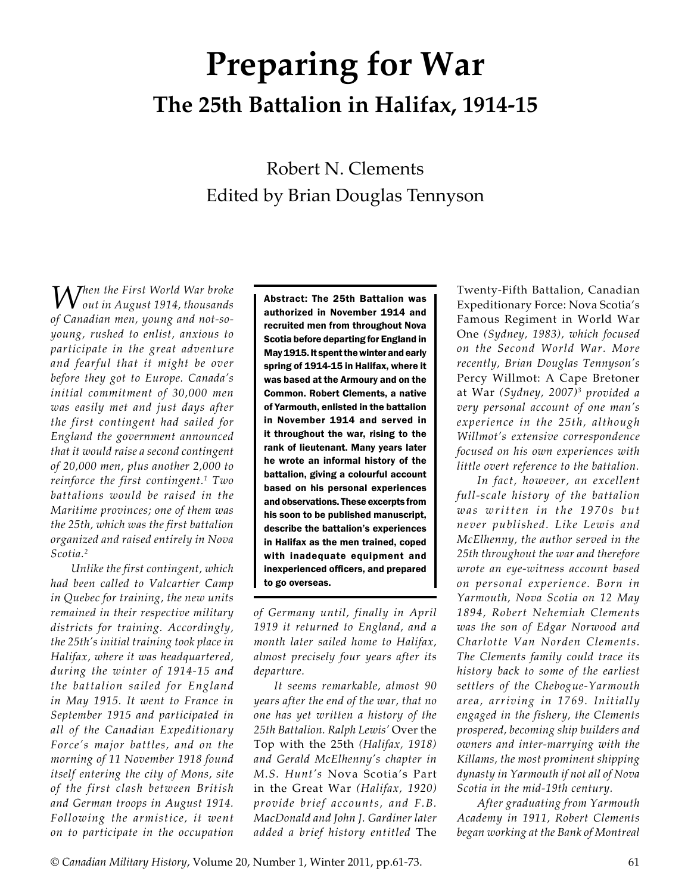# **Preparing for War The 25th Battalion in Halifax, 1914-15**

# Robert N. Clements Edited by Brian Douglas Tennyson

*When the First World War broke out in August 1914, thousands of Canadian men, young and not-soyoung, rushed to enlist, anxious to participate in the great adventure and fearful that it might be over before they got to Europe. Canada's initial commitment of 30,000 men was easily met and just days after the first contingent had sailed for England the government announced that it would raise a second contingent of 20,000 men, plus another 2,000 to reinforce the first contingent.1 Two battalions would be raised in the Maritime provinces; one of them was the 25th, which was the first battalion organized and raised entirely in Nova Scotia.2*

*Unlike the first contingent, which had been called to Valcartier Camp in Quebec for training, the new units remained in their respective military districts for training. Accordingly, the 25th's initial training took place in Halifax, where it was headquartered, during the winter of 1914-15 and the battalion sailed for England in May 1915. It went to France in September 1915 and participated in all of the Canadian Expeditionary Force's major battles, and on the morning of 11 November 1918 found itself entering the city of Mons, site of the first clash between British and German troops in August 1914. Following the armistice, it went on to participate in the occupation* 

Abstract: The 25th Battalion was authorized in November 1914 and recruited men from throughout Nova Scotia before departing for England in May 1915. It spent the winter and early spring of 1914-15 in Halifax, where it was based at the Armoury and on the Common. Robert Clements, a native of Yarmouth, enlisted in the battalion in November 1914 and served in it throughout the war, rising to the rank of lieutenant. Many years later he wrote an informal history of the battalion, giving a colourful account based on his personal experiences and observations. These excerpts from his soon to be published manuscript, describe the battalion's experiences in Halifax as the men trained, coped with inadequate equipment and inexperienced officers, and prepared to go overseas.

*of Germany until, finally in April 1919 it returned to England, and a month later sailed home to Halifax, almost precisely four years after its departure.*

*It seems remarkable, almost 90 years after the end of the war, that no one has yet written a history of the 25th Battalion. Ralph Lewis'* Over the Top with the 25th *(Halifax, 1918) and Gerald McElhenny's chapter in M.S. Hunt's* Nova Scotia's Part in the Great War *(Halifax, 1920) provide brief accounts, and F.B. MacDonald and John J. Gardiner later added a brief history entitled* The

Twenty-Fifth Battalion, Canadian Expeditionary Force: Nova Scotia's Famous Regiment in World War One *(Sydney, 1983), which focused on the Second World War. More recently, Brian Douglas Tennyson's*  Percy Willmot: A Cape Bretoner at War *(Sydney, 2007)3 provided a very personal account of one man's experience in the 25th, although Willmot's extensive correspondence focused on his own experiences with little overt reference to the battalion.*

*In fact, however, an excellent full-scale history of the battalion was written in the 1970s but never published. Like Lewis and McElhenny, the author served in the 25th throughout the war and therefore wrote an eye-witness account based on personal experience. Born in Yarmouth, Nova Scotia on 12 May 1894, Robert Nehemiah Clements was the son of Edgar Norwood and Charlotte Van Norden Clements. The Clements family could trace its history back to some of the earliest settlers of the Chebogue-Yarmouth area, arriving in 1769. Initially engaged in the fishery, the Clements prospered, becoming ship builders and owners and inter-marrying with the Killams, the most prominent shipping dynasty in Yarmouth if not all of Nova Scotia in the mid-19th century.*

*After graduating from Yarmouth Academy in 1911, Robert Clements began working at the Bank of Montreal*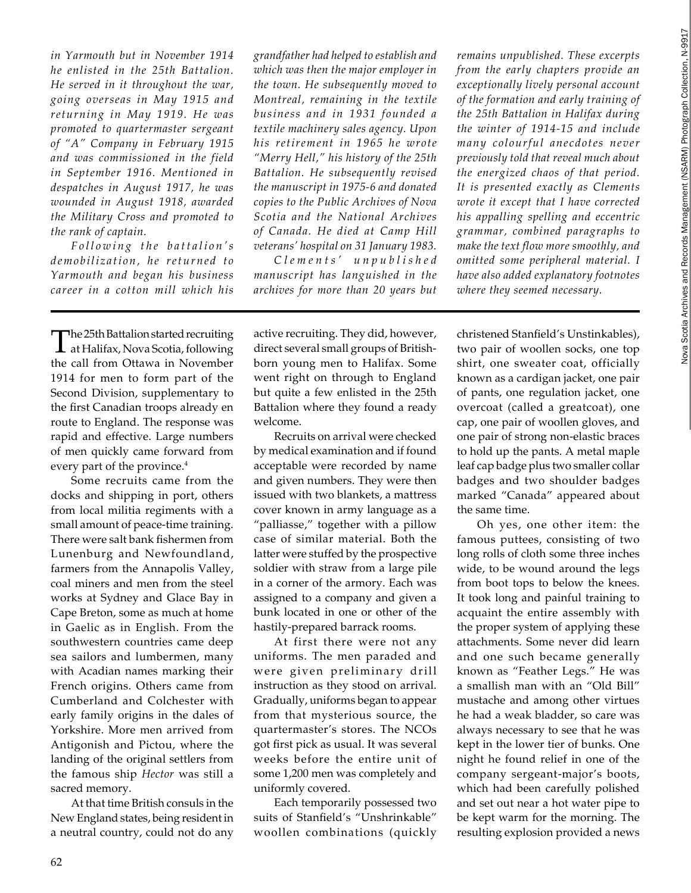*in Yarmouth but in November 1914 he enlisted in the 25th Battalion. He served in it throughout the war, going overseas in May 1915 and returning in May 1919. He was promoted to quartermaster sergeant of "A" Company in February 1915 and was commissioned in the field in September 1916. Mentioned in despatches in August 1917, he was wounded in August 1918, awarded the Military Cross and promoted to the rank of captain.*

*F o l l o w i n g t h e b a t t a l i o n ' s d e mo b i l iz a t i o n , h e r e t u r n e d t o Yarmouth and began his business career in a cotton mill which his* 

The 25th Battalion started recruiting at Halifax, Nova Scotia, following the call from Ottawa in November 1914 for men to form part of the Second Division, supplementary to the first Canadian troops already en route to England. The response was rapid and effective. Large numbers of men quickly came forward from every part of the province.<sup>4</sup>

Some recruits came from the docks and shipping in port, others from local militia regiments with a small amount of peace-time training. There were salt bank fishermen from Lunenburg and Newfoundland, farmers from the Annapolis Valley, coal miners and men from the steel works at Sydney and Glace Bay in Cape Breton, some as much at home in Gaelic as in English. From the southwestern countries came deep sea sailors and lumbermen, many with Acadian names marking their French origins. Others came from Cumberland and Colchester with early family origins in the dales of Yorkshire. More men arrived from Antigonish and Pictou, where the landing of the original settlers from the famous ship *Hector* was still a sacred memory.

At that time British consuls in the New England states, being resident in a neutral country, could not do any *grandfather had helped to establish and which was then the major employer in the town. He subsequently moved to Montreal, remaining in the textile business and in 1931 founded a textile machinery sales agency. Upon his retirement in 1965 he wrote "Merry Hell," his history of the 25th Battalion. He subsequently revised the manuscript in 1975-6 and donated copies to the Public Archives of Nova Scotia and the National Archives of Canada. He died at Camp Hill veterans' hospital on 31 January 1983.*

*C l e m e n t s ' u n p u b l i s h e d manuscript has languished in the archives for more than 20 years but* 

*remains unpublished. These excerpts from the early chapters provide an exceptionally lively personal account of the formation and early training of the 25th Battalion in Halifax during the winter of 1914-15 and include many colourful anecdotes never previously told that reveal much about the energized chaos of that period. It is presented exactly as Clements wrote it except that I have corrected his appalling spelling and eccentric grammar, combined paragraphs to make the text flow more smoothly, and omitted some peripheral material. I have also added explanatory footnotes where they seemed necessary.*

active recruiting. They did, however, direct several small groups of Britishborn young men to Halifax. Some went right on through to England but quite a few enlisted in the 25th Battalion where they found a ready welcome.

Recruits on arrival were checked by medical examination and if found acceptable were recorded by name and given numbers. They were then issued with two blankets, a mattress cover known in army language as a "palliasse," together with a pillow case of similar material. Both the latter were stuffed by the prospective soldier with straw from a large pile in a corner of the armory. Each was assigned to a company and given a bunk located in one or other of the hastily-prepared barrack rooms.

At first there were not any uniforms. The men paraded and were given preliminary drill instruction as they stood on arrival. Gradually, uniforms began to appear from that mysterious source, the quartermaster's stores. The NCOs got first pick as usual. It was several weeks before the entire unit of some 1,200 men was completely and uniformly covered.

Each temporarily possessed two suits of Stanfield's "Unshrinkable" woollen combinations (quickly christened Stanfield's Unstinkables), two pair of woollen socks, one top shirt, one sweater coat, officially known as a cardigan jacket, one pair of pants, one regulation jacket, one overcoat (called a greatcoat), one cap, one pair of woollen gloves, and one pair of strong non-elastic braces to hold up the pants. A metal maple leaf cap badge plus two smaller collar badges and two shoulder badges marked "Canada" appeared about the same time.

Oh yes, one other item: the famous puttees, consisting of two long rolls of cloth some three inches wide, to be wound around the legs from boot tops to below the knees. It took long and painful training to acquaint the entire assembly with the proper system of applying these attachments. Some never did learn and one such became generally known as "Feather Legs." He was a smallish man with an "Old Bill" mustache and among other virtues he had a weak bladder, so care was always necessary to see that he was kept in the lower tier of bunks. One night he found relief in one of the company sergeant-major's boots, which had been carefully polished and set out near a hot water pipe to be kept warm for the morning. The resulting explosion provided a news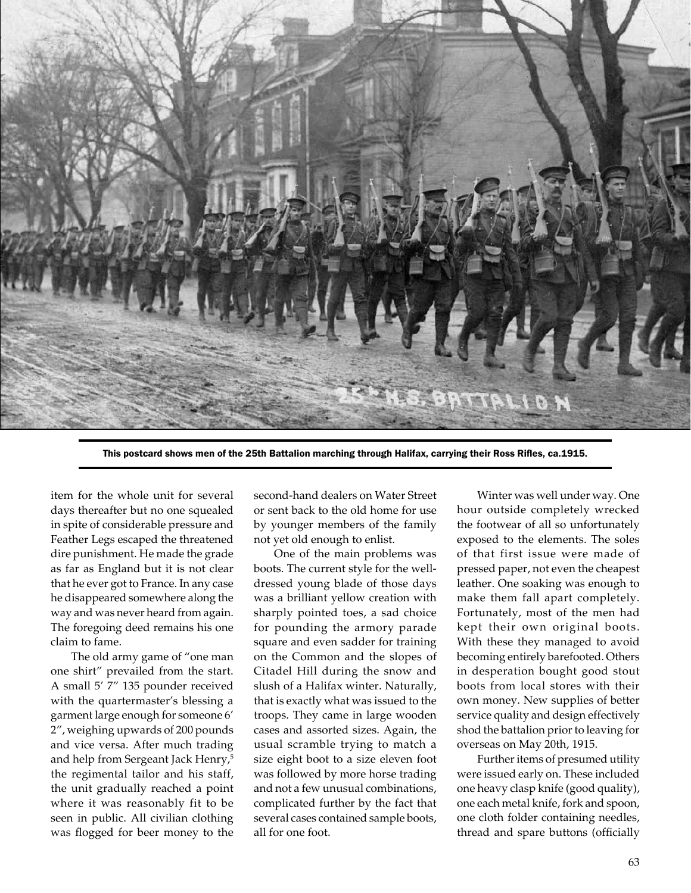

This postcard shows men of the 25th Battalion marching through Halifax, carrying their Ross Rifles, ca.1915.

item for the whole unit for several days thereafter but no one squealed in spite of considerable pressure and Feather Legs escaped the threatened dire punishment. He made the grade as far as England but it is not clear that he ever got to France. In any case he disappeared somewhere along the way and was never heard from again. The foregoing deed remains his one claim to fame.

The old army game of "one man one shirt" prevailed from the start. A small 5' 7" 135 pounder received with the quartermaster's blessing a garment large enough for someone 6' 2", weighing upwards of 200 pounds and vice versa. After much trading and help from Sergeant Jack Henry,<sup>5</sup> the regimental tailor and his staff, the unit gradually reached a point where it was reasonably fit to be seen in public. All civilian clothing was flogged for beer money to the second-hand dealers on Water Street or sent back to the old home for use by younger members of the family not yet old enough to enlist.

One of the main problems was boots. The current style for the welldressed young blade of those days was a brilliant yellow creation with sharply pointed toes, a sad choice for pounding the armory parade square and even sadder for training on the Common and the slopes of Citadel Hill during the snow and slush of a Halifax winter. Naturally, that is exactly what was issued to the troops. They came in large wooden cases and assorted sizes. Again, the usual scramble trying to match a size eight boot to a size eleven foot was followed by more horse trading and not a few unusual combinations, complicated further by the fact that several cases contained sample boots, all for one foot.

Winter was well under way. One hour outside completely wrecked the footwear of all so unfortunately exposed to the elements. The soles of that first issue were made of pressed paper, not even the cheapest leather. One soaking was enough to make them fall apart completely. Fortunately, most of the men had kept their own original boots. With these they managed to avoid becoming entirely barefooted. Others in desperation bought good stout boots from local stores with their own money. New supplies of better service quality and design effectively shod the battalion prior to leaving for overseas on May 20th, 1915.

Further items of presumed utility were issued early on. These included one heavy clasp knife (good quality), one each metal knife, fork and spoon, one cloth folder containing needles, thread and spare buttons (officially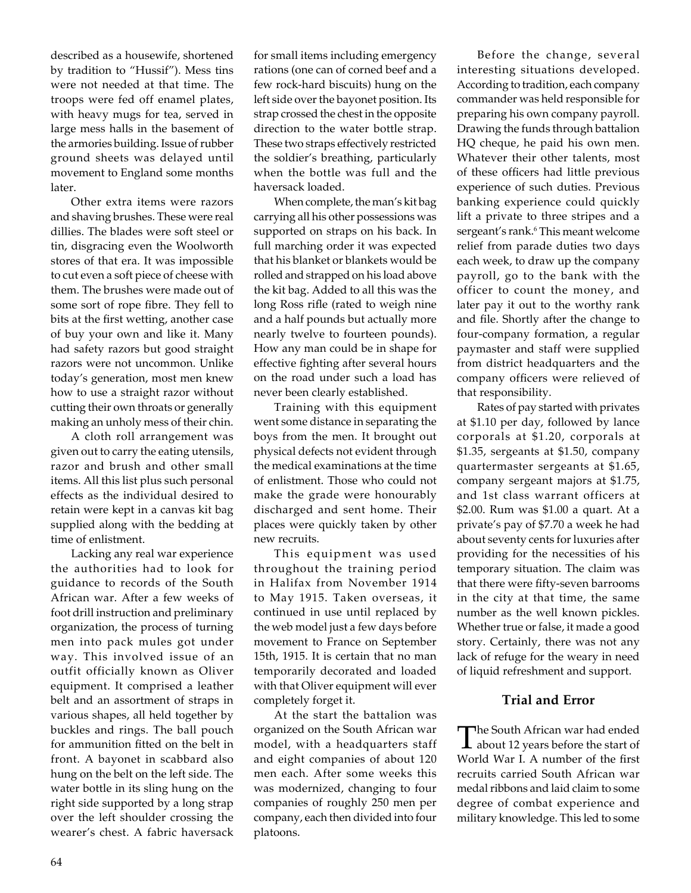described as a housewife, shortened by tradition to "Hussif"). Mess tins were not needed at that time. The troops were fed off enamel plates, with heavy mugs for tea, served in large mess halls in the basement of the armories building. Issue of rubber ground sheets was delayed until movement to England some months later.

Other extra items were razors and shaving brushes. These were real dillies. The blades were soft steel or tin, disgracing even the Woolworth stores of that era. It was impossible to cut even a soft piece of cheese with them. The brushes were made out of some sort of rope fibre. They fell to bits at the first wetting, another case of buy your own and like it. Many had safety razors but good straight razors were not uncommon. Unlike today's generation, most men knew how to use a straight razor without cutting their own throats or generally making an unholy mess of their chin.

A cloth roll arrangement was given out to carry the eating utensils, razor and brush and other small items. All this list plus such personal effects as the individual desired to retain were kept in a canvas kit bag supplied along with the bedding at time of enlistment.

Lacking any real war experience the authorities had to look for guidance to records of the South African war. After a few weeks of foot drill instruction and preliminary organization, the process of turning men into pack mules got under way. This involved issue of an outfit officially known as Oliver equipment. It comprised a leather belt and an assortment of straps in various shapes, all held together by buckles and rings. The ball pouch for ammunition fitted on the belt in front. A bayonet in scabbard also hung on the belt on the left side. The water bottle in its sling hung on the right side supported by a long strap over the left shoulder crossing the wearer's chest. A fabric haversack

for small items including emergency rations (one can of corned beef and a few rock-hard biscuits) hung on the left side over the bayonet position. Its strap crossed the chest in the opposite direction to the water bottle strap. These two straps effectively restricted the soldier's breathing, particularly when the bottle was full and the haversack loaded.

When complete, the man's kit bag carrying all his other possessions was supported on straps on his back. In full marching order it was expected that his blanket or blankets would be rolled and strapped on his load above the kit bag. Added to all this was the long Ross rifle (rated to weigh nine and a half pounds but actually more nearly twelve to fourteen pounds). How any man could be in shape for effective fighting after several hours on the road under such a load has never been clearly established.

Training with this equipment went some distance in separating the boys from the men. It brought out physical defects not evident through the medical examinations at the time of enlistment. Those who could not make the grade were honourably discharged and sent home. Their places were quickly taken by other new recruits.

This equipment was used throughout the training period in Halifax from November 1914 to May 1915. Taken overseas, it continued in use until replaced by the web model just a few days before movement to France on September 15th, 1915. It is certain that no man temporarily decorated and loaded with that Oliver equipment will ever completely forget it.

At the start the battalion was organized on the South African war model, with a headquarters staff and eight companies of about 120 men each. After some weeks this was modernized, changing to four companies of roughly 250 men per company, each then divided into four platoons.

Before the change, several interesting situations developed. According to tradition, each company commander was held responsible for preparing his own company payroll. Drawing the funds through battalion HQ cheque, he paid his own men. Whatever their other talents, most of these officers had little previous experience of such duties. Previous banking experience could quickly lift a private to three stripes and a sergeant's rank.6 This meant welcome relief from parade duties two days each week, to draw up the company payroll, go to the bank with the officer to count the money, and later pay it out to the worthy rank and file. Shortly after the change to four-company formation, a regular paymaster and staff were supplied from district headquarters and the company officers were relieved of that responsibility.

Rates of pay started with privates at \$1.10 per day, followed by lance corporals at \$1.20, corporals at \$1.35, sergeants at \$1.50, company quartermaster sergeants at \$1.65, company sergeant majors at \$1.75, and 1st class warrant officers at \$2.00. Rum was \$1.00 a quart. At a private's pay of \$7.70 a week he had about seventy cents for luxuries after providing for the necessities of his temporary situation. The claim was that there were fifty-seven barrooms in the city at that time, the same number as the well known pickles. Whether true or false, it made a good story. Certainly, there was not any lack of refuge for the weary in need of liquid refreshment and support.

# **Trial and Error**

The South African war had ended<br>about 12 years before the start of World War I. A number of the first recruits carried South African war medal ribbons and laid claim to some degree of combat experience and military knowledge. This led to some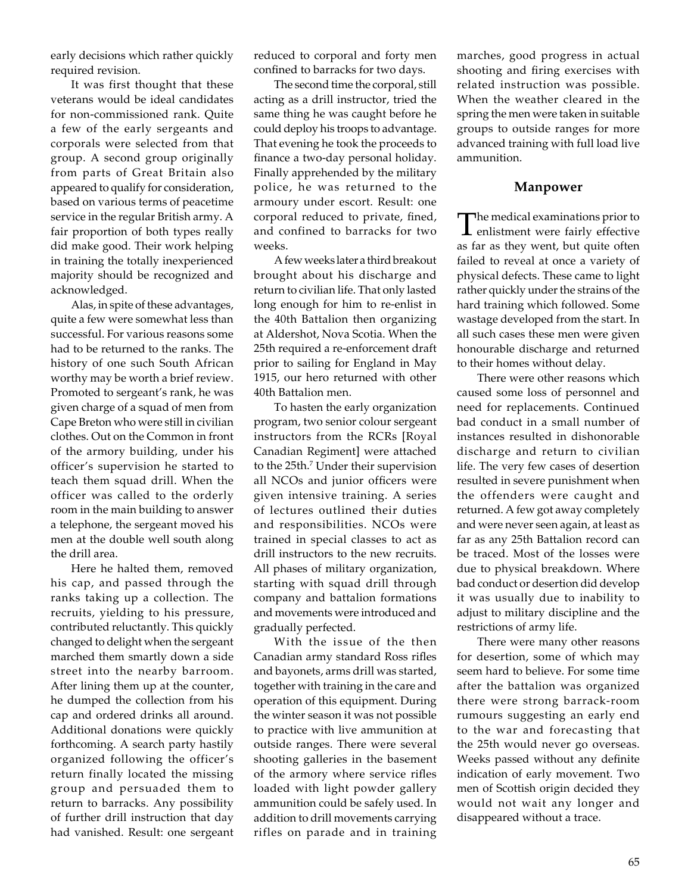early decisions which rather quickly required revision.

It was first thought that these veterans would be ideal candidates for non-commissioned rank. Quite a few of the early sergeants and corporals were selected from that group. A second group originally from parts of Great Britain also appeared to qualify for consideration, based on various terms of peacetime service in the regular British army. A fair proportion of both types really did make good. Their work helping in training the totally inexperienced majority should be recognized and acknowledged.

Alas, in spite of these advantages, quite a few were somewhat less than successful. For various reasons some had to be returned to the ranks. The history of one such South African worthy may be worth a brief review. Promoted to sergeant's rank, he was given charge of a squad of men from Cape Breton who were still in civilian clothes. Out on the Common in front of the armory building, under his officer's supervision he started to teach them squad drill. When the officer was called to the orderly room in the main building to answer a telephone, the sergeant moved his men at the double well south along the drill area.

Here he halted them, removed his cap, and passed through the ranks taking up a collection. The recruits, yielding to his pressure, contributed reluctantly. This quickly changed to delight when the sergeant marched them smartly down a side street into the nearby barroom. After lining them up at the counter, he dumped the collection from his cap and ordered drinks all around. Additional donations were quickly forthcoming. A search party hastily organized following the officer's return finally located the missing group and persuaded them to return to barracks. Any possibility of further drill instruction that day had vanished. Result: one sergeant reduced to corporal and forty men confined to barracks for two days.

The second time the corporal, still acting as a drill instructor, tried the same thing he was caught before he could deploy his troops to advantage. That evening he took the proceeds to finance a two-day personal holiday. Finally apprehended by the military police, he was returned to the armoury under escort. Result: one corporal reduced to private, fined, and confined to barracks for two weeks.

A few weeks later a third breakout brought about his discharge and return to civilian life. That only lasted long enough for him to re-enlist in the 40th Battalion then organizing at Aldershot, Nova Scotia. When the 25th required a re-enforcement draft prior to sailing for England in May 1915, our hero returned with other 40th Battalion men.

To hasten the early organization program, two senior colour sergeant instructors from the RCRs [Royal Canadian Regiment] were attached to the 25th.7 Under their supervision all NCOs and junior officers were given intensive training. A series of lectures outlined their duties and responsibilities. NCOs were trained in special classes to act as drill instructors to the new recruits. All phases of military organization, starting with squad drill through company and battalion formations and movements were introduced and gradually perfected.

With the issue of the then Canadian army standard Ross rifles and bayonets, arms drill was started, together with training in the care and operation of this equipment. During the winter season it was not possible to practice with live ammunition at outside ranges. There were several shooting galleries in the basement of the armory where service rifles loaded with light powder gallery ammunition could be safely used. In addition to drill movements carrying rifles on parade and in training

marches, good progress in actual shooting and firing exercises with related instruction was possible. When the weather cleared in the spring the men were taken in suitable groups to outside ranges for more advanced training with full load live ammunition.

## **Manpower**

The medical examinations prior to enlistment were fairly effective as far as they went, but quite often failed to reveal at once a variety of physical defects. These came to light rather quickly under the strains of the hard training which followed. Some wastage developed from the start. In all such cases these men were given honourable discharge and returned to their homes without delay.

There were other reasons which caused some loss of personnel and need for replacements. Continued bad conduct in a small number of instances resulted in dishonorable discharge and return to civilian life. The very few cases of desertion resulted in severe punishment when the offenders were caught and returned. A few got away completely and were never seen again, at least as far as any 25th Battalion record can be traced. Most of the losses were due to physical breakdown. Where bad conduct or desertion did develop it was usually due to inability to adjust to military discipline and the restrictions of army life.

There were many other reasons for desertion, some of which may seem hard to believe. For some time after the battalion was organized there were strong barrack-room rumours suggesting an early end to the war and forecasting that the 25th would never go overseas. Weeks passed without any definite indication of early movement. Two men of Scottish origin decided they would not wait any longer and disappeared without a trace.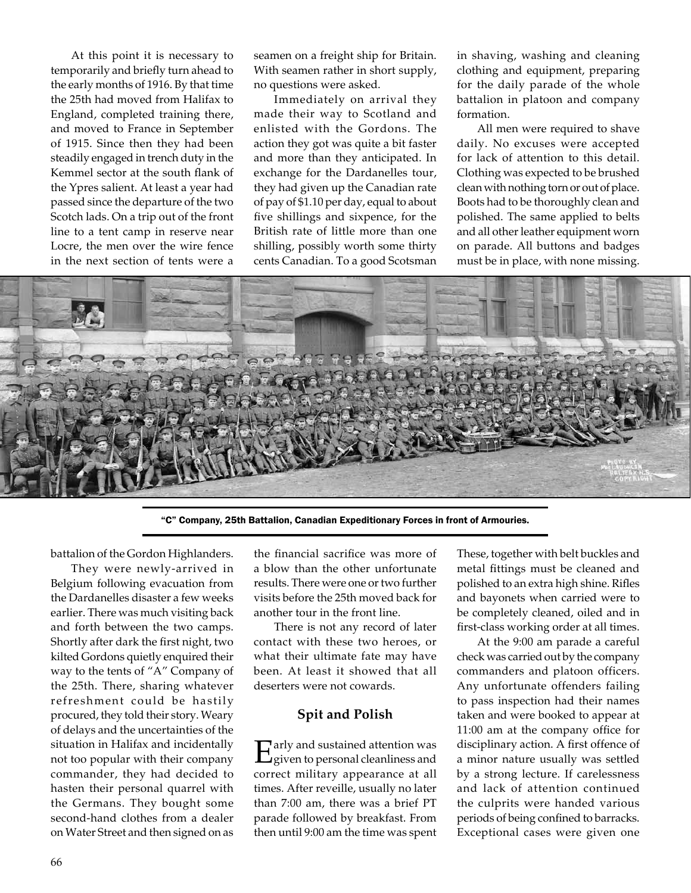At this point it is necessary to temporarily and briefly turn ahead to the early months of 1916. By that time the 25th had moved from Halifax to England, completed training there, and moved to France in September of 1915. Since then they had been steadily engaged in trench duty in the Kemmel sector at the south flank of the Ypres salient. At least a year had passed since the departure of the two Scotch lads. On a trip out of the front line to a tent camp in reserve near Locre, the men over the wire fence in the next section of tents were a

seamen on a freight ship for Britain. With seamen rather in short supply, no questions were asked.

Immediately on arrival they made their way to Scotland and enlisted with the Gordons. The action they got was quite a bit faster and more than they anticipated. In exchange for the Dardanelles tour, they had given up the Canadian rate of pay of \$1.10 per day, equal to about five shillings and sixpence, for the British rate of little more than one shilling, possibly worth some thirty cents Canadian. To a good Scotsman

in shaving, washing and cleaning clothing and equipment, preparing for the daily parade of the whole battalion in platoon and company formation.

All men were required to shave daily. No excuses were accepted for lack of attention to this detail. Clothing was expected to be brushed clean with nothing torn or out of place. Boots had to be thoroughly clean and polished. The same applied to belts and all other leather equipment worn on parade. All buttons and badges must be in place, with none missing.



"C" Company, 25th Battalion, Canadian Expeditionary Forces in front of Armouries.

battalion of the Gordon Highlanders.

They were newly-arrived in Belgium following evacuation from the Dardanelles disaster a few weeks earlier. There was much visiting back and forth between the two camps. Shortly after dark the first night, two kilted Gordons quietly enquired their way to the tents of "A" Company of the 25th. There, sharing whatever refreshment could be hastily procured, they told their story. Weary of delays and the uncertainties of the situation in Halifax and incidentally not too popular with their company commander, they had decided to hasten their personal quarrel with the Germans. They bought some second-hand clothes from a dealer on Water Street and then signed on as

the financial sacrifice was more of a blow than the other unfortunate results. There were one or two further visits before the 25th moved back for another tour in the front line.

There is not any record of later contact with these two heroes, or what their ultimate fate may have been. At least it showed that all deserters were not cowards.

## **Spit and Polish**

Early and sustained attention was<br>
given to personal cleanliness and correct military appearance at all times. After reveille, usually no later than 7:00 am, there was a brief PT parade followed by breakfast. From then until 9:00 am the time was spent

These, together with belt buckles and metal fittings must be cleaned and polished to an extra high shine. Rifles and bayonets when carried were to be completely cleaned, oiled and in first-class working order at all times.

At the 9:00 am parade a careful check was carried out by the company commanders and platoon officers. Any unfortunate offenders failing to pass inspection had their names taken and were booked to appear at 11:00 am at the company office for disciplinary action. A first offence of a minor nature usually was settled by a strong lecture. If carelessness and lack of attention continued the culprits were handed various periods of being confined to barracks. Exceptional cases were given one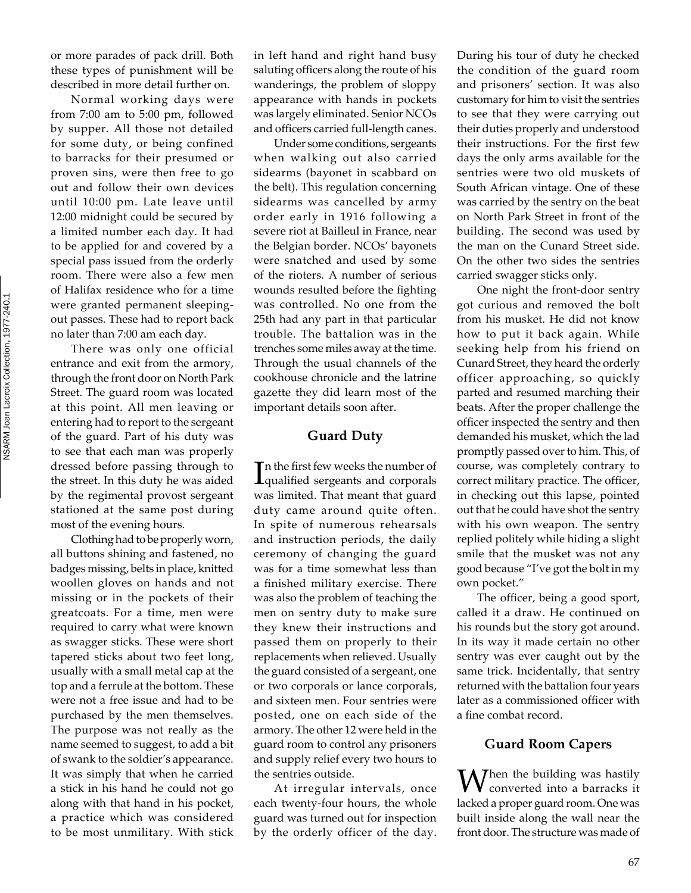NSARM Joan Lacroix Collection, 1977-240.1NSARM Joan Lacroix Collection, 1977-240.1 or more parades of pack drill. Both these types of punishment will be described in more detail further on.

Normal working days were from 7:00 am to 5:00 pm, followed by supper. All those not detailed for some duty, or being confined to barracks for their presumed or proven sins, were then free to go out and follow their own devices until 10:00 pm. Late leave until 12:00 midnight could be secured by a limited number each day. It had to be applied for and covered by a special pass issued from the orderly room. There were also a few men of Halifax residence who for a time were granted permanent sleepingout passes. These had to report back no later than 7:00 am each day.

There was only one official entrance and exit from the armory, through the front door on North Park Street. The guard room was located at this point. All men leaving or entering had to report to the sergeant of the guard. Part of his duty was to see that each man was properly dressed before passing through to the street. In this duty he was aided by the regimental provost sergeant stationed at the same post during most of the evening hours.

Clothing had to be properly worn, all buttons shining and fastened, no badges missing, belts in place, knitted woollen gloves on hands and not missing or in the pockets of their greatcoats. For a time, men were required to carry what were known as swagger sticks. These were short tapered sticks about two feet long, usually with a small metal cap at the top and a ferrule at the bottom. These were not a free issue and had to be purchased by the men themselves. The purpose was not really as the name seemed to suggest, to add a bit of swank to the soldier's appearance. It was simply that when he carried a stick in his hand he could not go along with that hand in his pocket, a practice which was considered to be most unmilitary. With stick

in left hand and right hand busy saluting officers along the route of his wanderings, the problem of sloppy appearance with hands in pockets was largely eliminated. Senior NCOs and officers carried full-length canes.

Under some conditions, sergeants when walking out also carried sidearms (bayonet in scabbard on the belt). This regulation concerning sidearms was cancelled by army order early in 1916 following a severe riot at Bailleul in France, near the Belgian border. NCOs' bayonets were snatched and used by some of the rioters. A number of serious wounds resulted before the fighting was controlled. No one from the 25th had any part in that particular trouble. The battalion was in the trenches some miles away at the time. Through the usual channels of the cookhouse chronicle and the latrine gazette they did learn most of the important details soon after.

#### **Guard Duty**

In the first few weeks the number of<br>qualified sergeants and corporals  $\blacksquare$  n the first few weeks the number of was limited. That meant that guard duty came around quite often. In spite of numerous rehearsals and instruction periods, the daily ceremony of changing the guard was for a time somewhat less than a finished military exercise. There was also the problem of teaching the men on sentry duty to make sure they knew their instructions and passed them on properly to their replacements when relieved. Usually the guard consisted of a sergeant, one or two corporals or lance corporals, and sixteen men. Four sentries were posted, one on each side of the armory. The other 12 were held in the guard room to control any prisoners and supply relief every two hours to the sentries outside.

At irregular intervals, once each twenty-four hours, the whole guard was turned out for inspection by the orderly officer of the day.

During his tour of duty he checked the condition of the guard room and prisoners' section. It was also customary for him to visit the sentries to see that they were carrying out their duties properly and understood their instructions. For the first few days the only arms available for the sentries were two old muskets of South African vintage. One of these was carried by the sentry on the beat on North Park Street in front of the building. The second was used by the man on the Cunard Street side. On the other two sides the sentries carried swagger sticks only.

One night the front-door sentry got curious and removed the bolt from his musket. He did not know how to put it back again. While seeking help from his friend on Cunard Street, they heard the orderly officer approaching, so quickly parted and resumed marching their beats. After the proper challenge the officer inspected the sentry and then demanded his musket, which the lad promptly passed over to him. This, of course, was completely contrary to correct military practice. The officer, in checking out this lapse, pointed out that he could have shot the sentry with his own weapon. The sentry replied politely while hiding a slight smile that the musket was not any good because "I've got the bolt in my own pocket."

The officer, being a good sport, called it a draw. He continued on his rounds but the story got around. In its way it made certain no other sentry was ever caught out by the same trick. Incidentally, that sentry returned with the battalion four years later as a commissioned officer with a fine combat record.

# **Guard Room Capers**

When the building was hastily<br>converted into a barracks it lacked a proper guard room. One was built inside along the wall near the front door. The structure was made of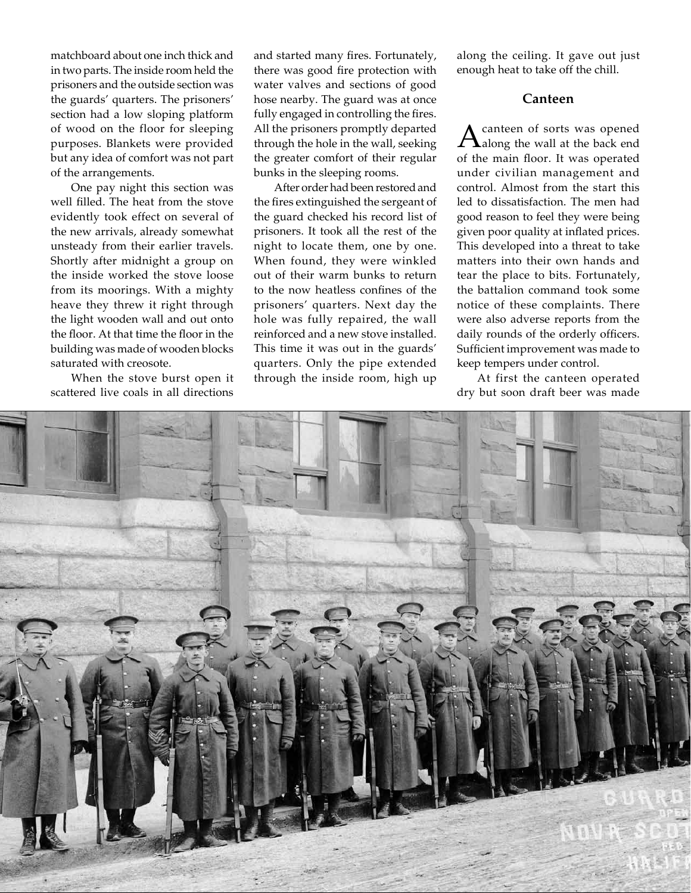matchboard about one inch thick and in two parts. The inside room held the prisoners and the outside section was the guards' quarters. The prisoners' section had a low sloping platform of wood on the floor for sleeping purposes. Blankets were provided but any idea of comfort was not part of the arrangements.

One pay night this section was well filled. The heat from the stove evidently took effect on several of the new arrivals, already somewhat unsteady from their earlier travels. Shortly after midnight a group on the inside worked the stove loose from its moorings. With a mighty heave they threw it right through the light wooden wall and out onto the floor. At that time the floor in the building was made of wooden blocks saturated with creosote.

When the stove burst open it scattered live coals in all directions and started many fires. Fortunately, there was good fire protection with water valves and sections of good hose nearby. The guard was at once fully engaged in controlling the fires. All the prisoners promptly departed through the hole in the wall, seeking the greater comfort of their regular bunks in the sleeping rooms.

After order had been restored and the fires extinguished the sergeant of the guard checked his record list of prisoners. It took all the rest of the night to locate them, one by one. When found, they were winkled out of their warm bunks to return to the now heatless confines of the prisoners' quarters. Next day the hole was fully repaired, the wall reinforced and a new stove installed. This time it was out in the guards' quarters. Only the pipe extended through the inside room, high up

along the ceiling. It gave out just enough heat to take off the chill.

## **Canteen**

A canteen of sorts was opened<br>along the wall at the back end of the main floor. It was operated under civilian management and control. Almost from the start this led to dissatisfaction. The men had good reason to feel they were being given poor quality at inflated prices. This developed into a threat to take matters into their own hands and tear the place to bits. Fortunately, the battalion command took some notice of these complaints. There were also adverse reports from the daily rounds of the orderly officers. Sufficient improvement was made to keep tempers under control.

At first the canteen operated dry but soon draft beer was made

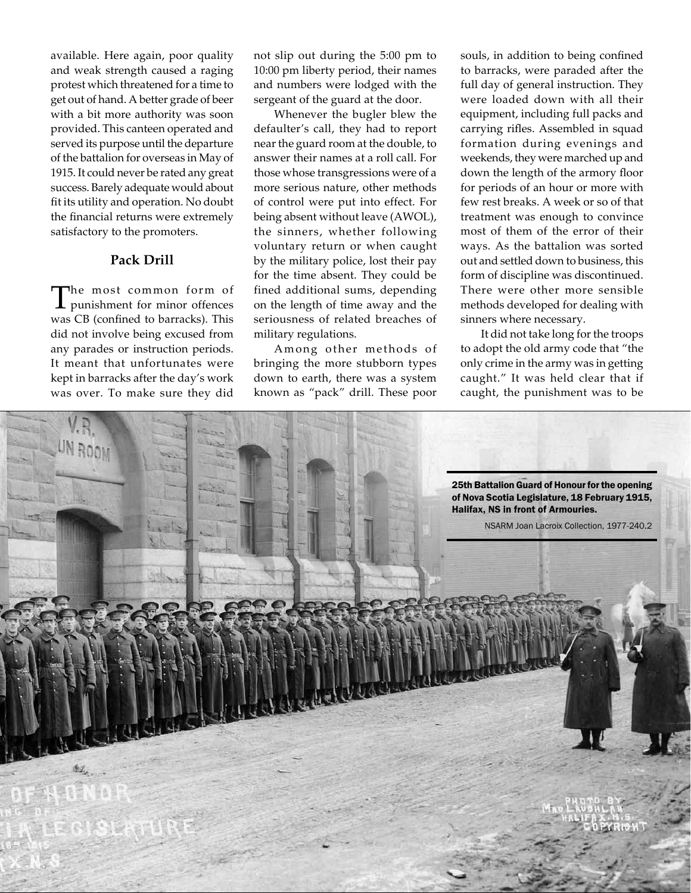available. Here again, poor quality and weak strength caused a raging protest which threatened for a time to get out of hand. A better grade of beer with a bit more authority was soon provided. This canteen operated and served its purpose until the departure of the battalion for overseas in May of 1915. It could never be rated any great success. Barely adequate would about fit its utility and operation. No doubt the financial returns were extremely satisfactory to the promoters.

# **Pack Drill**

The most common form of<br>punishment for minor offences was CB (confined to barracks). This did not involve being excused from any parades or instruction periods. It meant that unfortunates were kept in barracks after the day's work was over. To make sure they did

not slip out during the 5:00 pm to 10:00 pm liberty period, their names and numbers were lodged with the sergeant of the guard at the door.

Whenever the bugler blew the defaulter's call, they had to report near the guard room at the double, to answer their names at a roll call. For those whose transgressions were of a more serious nature, other methods of control were put into effect. For being absent without leave (AWOL), the sinners, whether following voluntary return or when caught by the military police, lost their pay for the time absent. They could be fined additional sums, depending on the length of time away and the seriousness of related breaches of military regulations.

Among other methods of bringing the more stubborn types down to earth, there was a system known as "pack" drill. These poor

souls, in addition to being confined to barracks, were paraded after the full day of general instruction. They were loaded down with all their equipment, including full packs and carrying rifles. Assembled in squad formation during evenings and weekends, they were marched up and down the length of the armory floor for periods of an hour or more with few rest breaks. A week or so of that treatment was enough to convince most of them of the error of their ways. As the battalion was sorted out and settled down to business, this form of discipline was discontinued. There were other more sensible methods developed for dealing with sinners where necessary.

It did not take long for the troops to adopt the old army code that "the only crime in the army was in getting caught." It was held clear that if caught, the punishment was to be

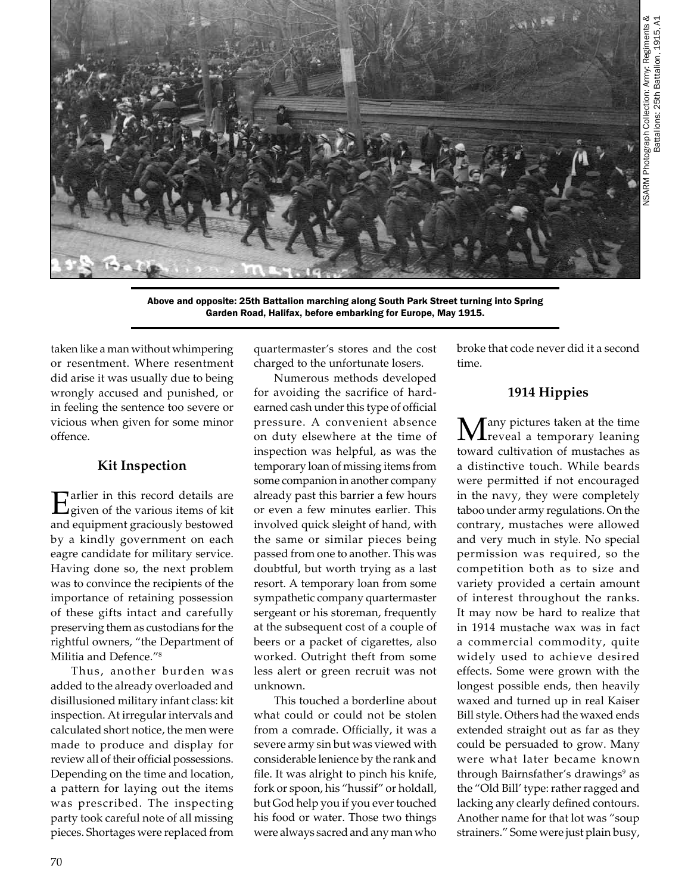

Above and opposite: 25th Battalion marching along South Park Street turning into Spring Garden Road, Halifax, before embarking for Europe, May 1915.

taken like a man without whimpering or resentment. Where resentment did arise it was usually due to being wrongly accused and punished, or in feeling the sentence too severe or vicious when given for some minor offence.

# **Kit Inspection**

Farlier in this record details are given of the various items of kit and equipment graciously bestowed by a kindly government on each eagre candidate for military service. Having done so, the next problem was to convince the recipients of the importance of retaining possession of these gifts intact and carefully preserving them as custodians for the rightful owners, "the Department of Militia and Defence."8

Thus, another burden was added to the already overloaded and disillusioned military infant class: kit inspection. At irregular intervals and calculated short notice, the men were made to produce and display for review all of their official possessions. Depending on the time and location, a pattern for laying out the items was prescribed. The inspecting party took careful note of all missing pieces. Shortages were replaced from

quartermaster's stores and the cost charged to the unfortunate losers.

Numerous methods developed for avoiding the sacrifice of hardearned cash under this type of official pressure. A convenient absence on duty elsewhere at the time of inspection was helpful, as was the temporary loan of missing items from some companion in another company already past this barrier a few hours or even a few minutes earlier. This involved quick sleight of hand, with the same or similar pieces being passed from one to another. This was doubtful, but worth trying as a last resort. A temporary loan from some sympathetic company quartermaster sergeant or his storeman, frequently at the subsequent cost of a couple of beers or a packet of cigarettes, also worked. Outright theft from some less alert or green recruit was not unknown.

This touched a borderline about what could or could not be stolen from a comrade. Officially, it was a severe army sin but was viewed with considerable lenience by the rank and file. It was alright to pinch his knife, fork or spoon, his "hussif" or holdall, but God help you if you ever touched his food or water. Those two things were always sacred and any man who

broke that code never did it a second time.

## **1914 Hippies**

 $\sqrt{\ }$  any pictures taken at the time reveal a temporary leaning toward cultivation of mustaches as a distinctive touch. While beards were permitted if not encouraged in the navy, they were completely taboo under army regulations. On the contrary, mustaches were allowed and very much in style. No special permission was required, so the competition both as to size and variety provided a certain amount of interest throughout the ranks. It may now be hard to realize that in 1914 mustache wax was in fact a commercial commodity, quite widely used to achieve desired effects. Some were grown with the longest possible ends, then heavily waxed and turned up in real Kaiser Bill style. Others had the waxed ends extended straight out as far as they could be persuaded to grow. Many were what later became known through Bairnsfather's drawings<sup>9</sup> as the "Old Bill' type: rather ragged and lacking any clearly defined contours. Another name for that lot was "soup strainers." Some were just plain busy,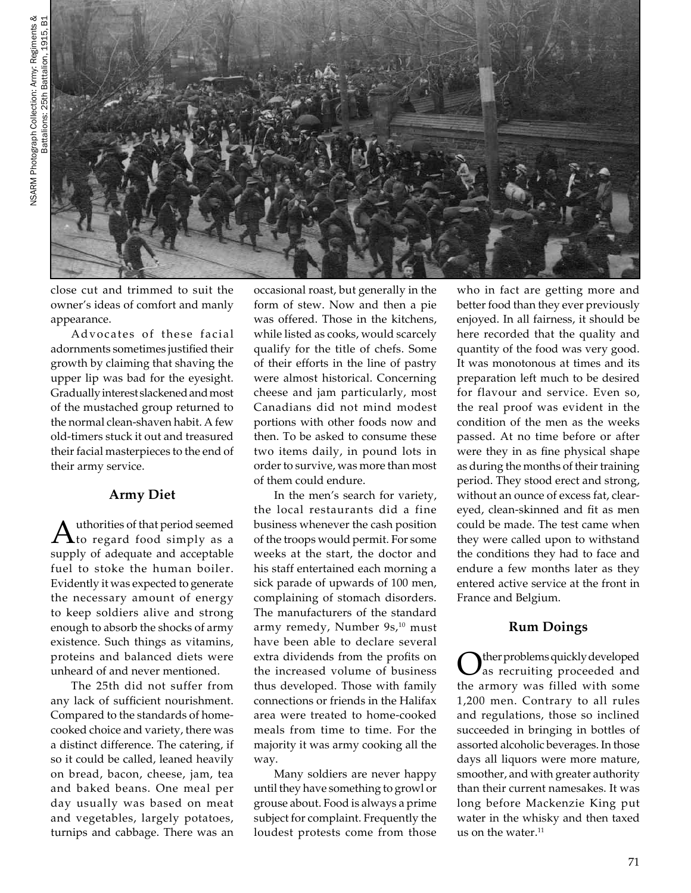

close cut and trimmed to suit the owner's ideas of comfort and manly appearance.

Advocates of these facial adornments sometimes justified their growth by claiming that shaving the upper lip was bad for the eyesight. Gradually interest slackened and most of the mustached group returned to the normal clean-shaven habit. A few old-timers stuck it out and treasured their facial masterpieces to the end of their army service.

# **Army Diet**

 $A$ <sup>uthorities of that period seemed</sup> to regard food simply as a supply of adequate and acceptable fuel to stoke the human boiler. Evidently it was expected to generate the necessary amount of energy to keep soldiers alive and strong enough to absorb the shocks of army existence. Such things as vitamins, proteins and balanced diets were unheard of and never mentioned.

The 25th did not suffer from any lack of sufficient nourishment. Compared to the standards of homecooked choice and variety, there was a distinct difference. The catering, if so it could be called, leaned heavily on bread, bacon, cheese, jam, tea and baked beans. One meal per day usually was based on meat and vegetables, largely potatoes, turnips and cabbage. There was an

occasional roast, but generally in the form of stew. Now and then a pie was offered. Those in the kitchens, while listed as cooks, would scarcely qualify for the title of chefs. Some of their efforts in the line of pastry were almost historical. Concerning cheese and jam particularly, most Canadians did not mind modest portions with other foods now and then. To be asked to consume these two items daily, in pound lots in order to survive, was more than most of them could endure.

In the men's search for variety, the local restaurants did a fine business whenever the cash position of the troops would permit. For some weeks at the start, the doctor and his staff entertained each morning a sick parade of upwards of 100 men, complaining of stomach disorders. The manufacturers of the standard army remedy, Number 9s,<sup>10</sup> must have been able to declare several extra dividends from the profits on the increased volume of business thus developed. Those with family connections or friends in the Halifax area were treated to home-cooked meals from time to time. For the majority it was army cooking all the way.

Many soldiers are never happy until they have something to growl or grouse about. Food is always a prime subject for complaint. Frequently the loudest protests come from those

who in fact are getting more and better food than they ever previously enjoyed. In all fairness, it should be here recorded that the quality and quantity of the food was very good. It was monotonous at times and its preparation left much to be desired for flavour and service. Even so, the real proof was evident in the condition of the men as the weeks passed. At no time before or after were they in as fine physical shape as during the months of their training period. They stood erect and strong, without an ounce of excess fat, cleareyed, clean-skinned and fit as men could be made. The test came when they were called upon to withstand the conditions they had to face and endure a few months later as they entered active service at the front in France and Belgium.

# **Rum Doings**

Other problems quickly developed<br>as recruiting proceeded and the armory was filled with some 1,200 men. Contrary to all rules and regulations, those so inclined succeeded in bringing in bottles of assorted alcoholic beverages. In those days all liquors were more mature, smoother, and with greater authority than their current namesakes. It was long before Mackenzie King put water in the whisky and then taxed us on the water.<sup>11</sup>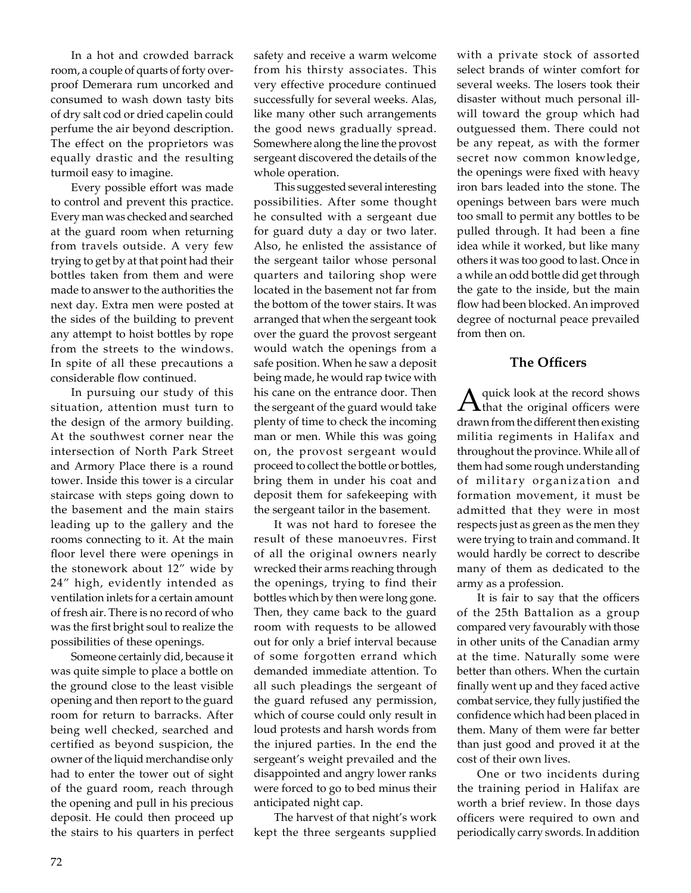In a hot and crowded barrack room, a couple of quarts of forty overproof Demerara rum uncorked and consumed to wash down tasty bits of dry salt cod or dried capelin could perfume the air beyond description. The effect on the proprietors was equally drastic and the resulting turmoil easy to imagine.

Every possible effort was made to control and prevent this practice. Every man was checked and searched at the guard room when returning from travels outside. A very few trying to get by at that point had their bottles taken from them and were made to answer to the authorities the next day. Extra men were posted at the sides of the building to prevent any attempt to hoist bottles by rope from the streets to the windows. In spite of all these precautions a considerable flow continued.

In pursuing our study of this situation, attention must turn to the design of the armory building. At the southwest corner near the intersection of North Park Street and Armory Place there is a round tower. Inside this tower is a circular staircase with steps going down to the basement and the main stairs leading up to the gallery and the rooms connecting to it. At the main floor level there were openings in the stonework about 12" wide by 24" high, evidently intended as ventilation inlets for a certain amount of fresh air. There is no record of who was the first bright soul to realize the possibilities of these openings.

Someone certainly did, because it was quite simple to place a bottle on the ground close to the least visible opening and then report to the guard room for return to barracks. After being well checked, searched and certified as beyond suspicion, the owner of the liquid merchandise only had to enter the tower out of sight of the guard room, reach through the opening and pull in his precious deposit. He could then proceed up the stairs to his quarters in perfect safety and receive a warm welcome from his thirsty associates. This very effective procedure continued successfully for several weeks. Alas, like many other such arrangements the good news gradually spread. Somewhere along the line the provost sergeant discovered the details of the whole operation.

This suggested several interesting possibilities. After some thought he consulted with a sergeant due for guard duty a day or two later. Also, he enlisted the assistance of the sergeant tailor whose personal quarters and tailoring shop were located in the basement not far from the bottom of the tower stairs. It was arranged that when the sergeant took over the guard the provost sergeant would watch the openings from a safe position. When he saw a deposit being made, he would rap twice with his cane on the entrance door. Then the sergeant of the guard would take plenty of time to check the incoming man or men. While this was going on, the provost sergeant would proceed to collect the bottle or bottles, bring them in under his coat and deposit them for safekeeping with the sergeant tailor in the basement.

It was not hard to foresee the result of these manoeuvres. First of all the original owners nearly wrecked their arms reaching through the openings, trying to find their bottles which by then were long gone. Then, they came back to the guard room with requests to be allowed out for only a brief interval because of some forgotten errand which demanded immediate attention. To all such pleadings the sergeant of the guard refused any permission, which of course could only result in loud protests and harsh words from the injured parties. In the end the sergeant's weight prevailed and the disappointed and angry lower ranks were forced to go to bed minus their anticipated night cap.

The harvest of that night's work kept the three sergeants supplied

with a private stock of assorted select brands of winter comfort for several weeks. The losers took their disaster without much personal illwill toward the group which had outguessed them. There could not be any repeat, as with the former secret now common knowledge, the openings were fixed with heavy iron bars leaded into the stone. The openings between bars were much too small to permit any bottles to be pulled through. It had been a fine idea while it worked, but like many others it was too good to last. Once in a while an odd bottle did get through the gate to the inside, but the main flow had been blocked. An improved degree of nocturnal peace prevailed from then on.

# **The Officers**

A quick look at the record shows<br>that the original officers were drawn from the different then existing militia regiments in Halifax and throughout the province. While all of them had some rough understanding of military organization and formation movement, it must be admitted that they were in most respects just as green as the men they were trying to train and command. It would hardly be correct to describe many of them as dedicated to the army as a profession.

It is fair to say that the officers of the 25th Battalion as a group compared very favourably with those in other units of the Canadian army at the time. Naturally some were better than others. When the curtain finally went up and they faced active combat service, they fully justified the confidence which had been placed in them. Many of them were far better than just good and proved it at the cost of their own lives.

One or two incidents during the training period in Halifax are worth a brief review. In those days officers were required to own and periodically carry swords. In addition